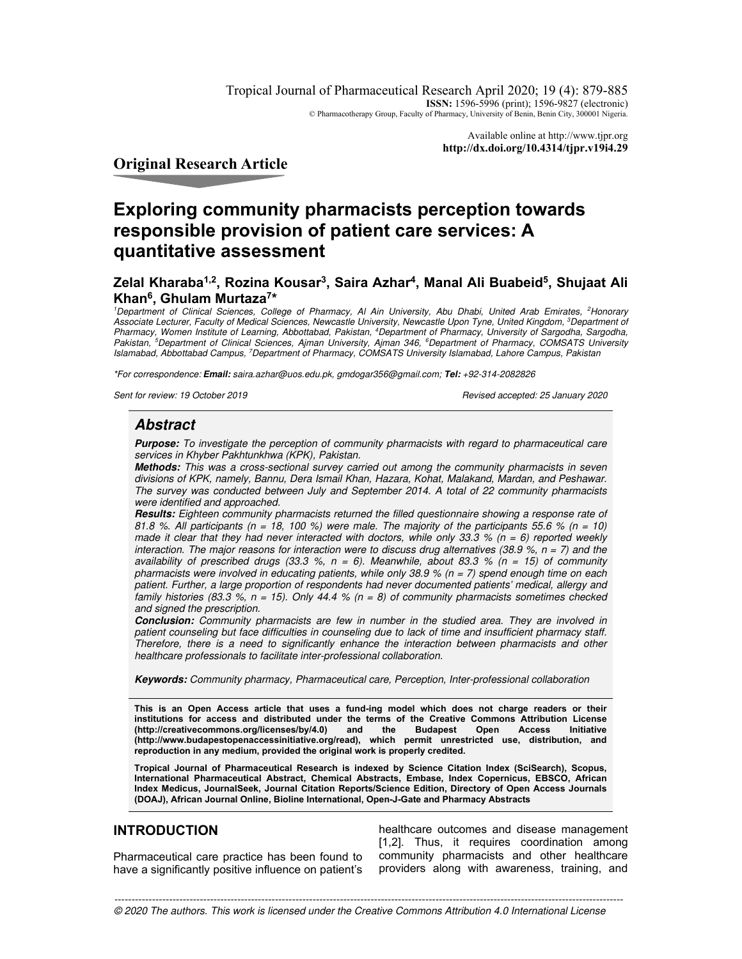Tropical Journal of Pharmaceutical Research April 2020; 19 (4): 879-885 **ISSN:** 1596-5996 (print); 1596-9827 (electronic) © Pharmacotherapy Group, Faculty of Pharmacy, University of Benin, Benin City, 300001 Nigeria.

> Available online at http://www.tjpr.org **http://dx.doi.org/10.4314/tjpr.v19i4.29**

**Original Research Article** 

# **Exploring community pharmacists perception towards responsible provision of patient care services: A quantitative assessment**

# **Zelal Kharaba1,2, Rozina Kousar<sup>3</sup> , Saira Azhar<sup>4</sup> , Manal Ali Buabeid<sup>5</sup> , Shujaat Ali Khan<sup>6</sup> , Ghulam Murtaza<sup>7</sup> \***

<sup>1</sup>Department of Clinical Sciences, College of Pharmacy, AI Ain University, Abu Dhabi, United Arab Emirates, <sup>2</sup>Honorary Associate Lecturer, Faculty of Medical Sciences, Newcastle University, Newcastle Upon Tyne, United Kingdom, <sup>3</sup>Department of Pharmacy, Women Institute of Learning, Abbottabad, Pakistan, <sup>4</sup>Department of Pharmacy, University of Sargodha, Sargodha, Pakistan, <sup>5</sup>Department of Clinical Sciences, Ajman University, Ajman 346, <sup>6</sup>Department of Pharmacy, COMSATS University Islamabad, Abbottabad Campus, <sup>7</sup>Department of Pharmacy, COMSATS University Islamabad, Lahore Campus, Pakistan

\*For correspondence: **Email:** saira.azhar@uos.edu.pk, gmdogar356@gmail.com; **Tel:** +92-314-2082826

Sent for review: 19 October 2019 **Revised accepted: 25 January 2020** 

# **Abstract**

**Purpose:** To investigate the perception of community pharmacists with regard to pharmaceutical care services in Khyber Pakhtunkhwa (KPK), Pakistan.

**Methods:** This was a cross-sectional survey carried out among the community pharmacists in seven divisions of KPK, namely, Bannu, Dera Ismail Khan, Hazara, Kohat, Malakand, Mardan, and Peshawar. The survey was conducted between July and September 2014. A total of 22 community pharmacists were identified and approached.

**Results:** Eighteen community pharmacists returned the filled questionnaire showing a response rate of 81.8 %. All participants ( $n = 18$ , 100 %) were male. The majority of the participants 55.6 % ( $n = 10$ ) made it clear that they had never interacted with doctors, while only 33.3 % ( $n = 6$ ) reported weekly interaction. The major reasons for interaction were to discuss drug alternatives (38.9 %,  $n = 7$ ) and the availability of prescribed drugs (33.3 %,  $n = 6$ ). Meanwhile, about 83.3 % ( $n = 15$ ) of community pharmacists were involved in educating patients, while only 38.9 % ( $n = 7$ ) spend enough time on each patient. Further, a large proportion of respondents had never documented patients' medical, allergy and family histories (83.3 %,  $n = 15$ ). Only 44.4 % ( $n = 8$ ) of community pharmacists sometimes checked and signed the prescription.

**Conclusion:** Community pharmacists are few in number in the studied area. They are involved in patient counseling but face difficulties in counseling due to lack of time and insufficient pharmacy staff. Therefore, there is a need to significantly enhance the interaction between pharmacists and other healthcare professionals to facilitate inter-professional collaboration.

**Keywords:** Community pharmacy, Pharmaceutical care, Perception, Inter-professional collaboration

**This is an Open Access article that uses a fund-ing model which does not charge readers or their institutions for access and distributed under the terms of the Creative Commons Attribution License**  (http://creativecommons.org/licenses/by/4.0) **(http://www.budapestopenaccessinitiative.org/read), which permit unrestricted use, distribution, and reproduction in any medium, provided the original work is properly credited.** 

**Tropical Journal of Pharmaceutical Research is indexed by Science Citation Index (SciSearch), Scopus, International Pharmaceutical Abstract, Chemical Abstracts, Embase, Index Copernicus, EBSCO, African Index Medicus, JournalSeek, Journal Citation Reports/Science Edition, Directory of Open Access Journals (DOAJ), African Journal Online, Bioline International, Open-J-Gate and Pharmacy Abstracts** 

# **INTRODUCTION**

Pharmaceutical care practice has been found to have a significantly positive influence on patient's

healthcare outcomes and disease management [1,2]. Thus, it requires coordination among community pharmacists and other healthcare providers along with awareness, training, and

*Trop J Pharm Res, April 2020; 19(4):*879 ----------------------------------------------------------------------------------------------------------------------------------------------------- © 2020 The authors. This work is licensed under the Creative Commons Attribution 4.0 International License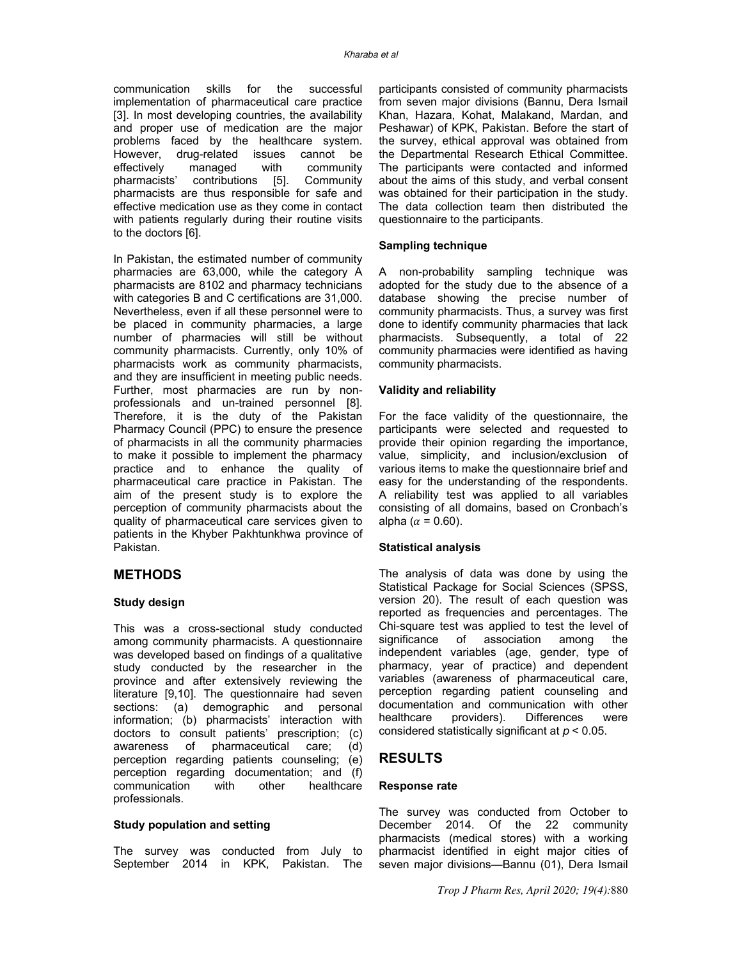communication skills for the successful implementation of pharmaceutical care practice [3]. In most developing countries, the availability and proper use of medication are the major problems faced by the healthcare system. However, drug-related issues cannot be effectively managed with community<br>pharmacists' contributions [5]. Community contributions [5]. pharmacists are thus responsible for safe and effective medication use as they come in contact with patients regularly during their routine visits to the doctors [6].

In Pakistan, the estimated number of community pharmacies are 63,000, while the category A pharmacists are 8102 and pharmacy technicians with categories B and C certifications are 31,000. Nevertheless, even if all these personnel were to be placed in community pharmacies, a large number of pharmacies will still be without community pharmacists. Currently, only 10% of pharmacists work as community pharmacists, and they are insufficient in meeting public needs. Further, most pharmacies are run by nonprofessionals and un-trained personnel [8]. Therefore, it is the duty of the Pakistan Pharmacy Council (PPC) to ensure the presence of pharmacists in all the community pharmacies to make it possible to implement the pharmacy practice and to enhance the quality of pharmaceutical care practice in Pakistan. The aim of the present study is to explore the perception of community pharmacists about the quality of pharmaceutical care services given to patients in the Khyber Pakhtunkhwa province of Pakistan.

# **METHODS**

#### **Study design**

This was a cross-sectional study conducted among community pharmacists. A questionnaire was developed based on findings of a qualitative study conducted by the researcher in the province and after extensively reviewing the literature [9,10]. The questionnaire had seven sections: (a) demographic and personal information; (b) pharmacists' interaction with doctors to consult patients' prescription; (c)<br>awareness of pharmaceutical care; (d) awareness of pharmaceutical care; perception regarding patients counseling; (e) perception regarding documentation; and (f) communication with other healthcare professionals.

#### **Study population and setting**

The survey was conducted from July to September 2014 in KPK, Pakistan. The participants consisted of community pharmacists from seven major divisions (Bannu, Dera Ismail Khan, Hazara, Kohat, Malakand, Mardan, and Peshawar) of KPK, Pakistan. Before the start of the survey, ethical approval was obtained from the Departmental Research Ethical Committee. The participants were contacted and informed about the aims of this study, and verbal consent was obtained for their participation in the study. The data collection team then distributed the questionnaire to the participants.

#### **Sampling technique**

A non-probability sampling technique was adopted for the study due to the absence of a database showing the precise number of community pharmacists. Thus, a survey was first done to identify community pharmacies that lack pharmacists. Subsequently, a total of 22 community pharmacies were identified as having community pharmacists.

#### **Validity and reliability**

For the face validity of the questionnaire, the participants were selected and requested to provide their opinion regarding the importance, value, simplicity, and inclusion/exclusion of various items to make the questionnaire brief and easy for the understanding of the respondents. A reliability test was applied to all variables consisting of all domains, based on Cronbach's alpha ( $\alpha$  = 0.60).

#### **Statistical analysis**

The analysis of data was done by using the Statistical Package for Social Sciences (SPSS, version 20). The result of each question was reported as frequencies and percentages. The Chi-square test was applied to test the level of significance of association among the independent variables (age, gender, type of pharmacy, year of practice) and dependent variables (awareness of pharmaceutical care, perception regarding patient counseling and documentation and communication with other<br>healthcare providers). Differences were Differences were considered statistically significant at  $p < 0.05$ .

### **RESULTS**

#### **Response rate**

The survey was conducted from October to December 2014. Of the 22 community pharmacists (medical stores) with a working pharmacist identified in eight major cities of seven major divisions—Bannu (01), Dera Ismail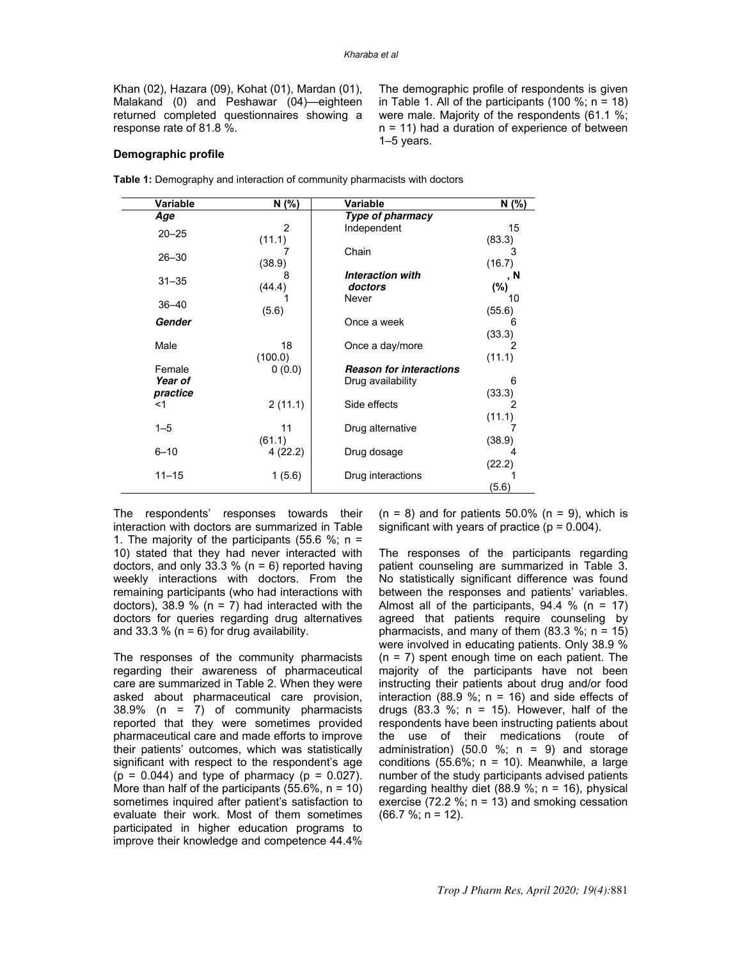Khan (02), Hazara (09), Kohat (01), Mardan (01), Malakand (0) and Peshawar (04)—eighteen returned completed questionnaires showing a response rate of 81.8 %.

The demographic profile of respondents is given in Table 1. All of the participants  $(100 \, \frac{\pi}{6})$ ; n = 18) were male. Majority of the respondents (61.1 %; n = 11) had a duration of experience of between 1–5 years.

#### **Demographic profile**

| Variable  | N (%)          | <b>Variable</b>                | N (%)  |
|-----------|----------------|--------------------------------|--------|
| Age       |                | Type of pharmacy               |        |
| $20 - 25$ | $\overline{2}$ | Independent                    | 15     |
|           | (11.1)         |                                | (83.3) |
| $26 - 30$ |                | Chain                          | 3      |
|           | (38.9)         |                                | (16.7) |
| $31 - 35$ | 8              | <b>Interaction with</b>        | , N    |
|           | (44.4)         | doctors                        | $(\%)$ |
| $36 - 40$ |                | Never                          | 10     |
|           | (5.6)          |                                | (55.6) |
| Gender    |                | Once a week                    | 6      |
|           |                |                                | (33.3) |
| Male      | 18             | Once a day/more                |        |
| Female    | (100.0)        | <b>Reason for interactions</b> | (11.1) |
| Year of   | 0(0.0)         | Drug availability              | 6      |
| practice  |                |                                | (33.3) |
| $<$ 1     | 2(11.1)        | Side effects                   | 2      |
|           |                |                                | (11.1) |
| $1 - 5$   | 11             | Drug alternative               |        |
|           | (61.1)         |                                | (38.9) |
| $6 - 10$  | 4(22.2)        | Drug dosage                    |        |
|           |                |                                | (22.2) |
| $11 - 15$ | 1(5.6)         | Drug interactions              |        |
|           |                |                                | (5.6)  |
|           |                |                                |        |

**Table 1:** Demography and interaction of community pharmacists with doctors

The respondents' responses towards their interaction with doctors are summarized in Table 1. The majority of the participants (55.6 %;  $n =$ 10) stated that they had never interacted with doctors, and only 33.3 % ( $n = 6$ ) reported having weekly interactions with doctors. From the remaining participants (who had interactions with doctors), 38.9 % ( $n = 7$ ) had interacted with the doctors for queries regarding drug alternatives and 33.3 % ( $n = 6$ ) for drug availability.

The responses of the community pharmacists regarding their awareness of pharmaceutical care are summarized in Table 2. When they were asked about pharmaceutical care provision, 38.9% (n = 7) of community pharmacists reported that they were sometimes provided pharmaceutical care and made efforts to improve their patients' outcomes, which was statistically significant with respect to the respondent's age  $(p = 0.044)$  and type of pharmacy  $(p = 0.027)$ . More than half of the participants  $(55.6\% , n = 10)$ sometimes inquired after patient's satisfaction to evaluate their work. Most of them sometimes participated in higher education programs to improve their knowledge and competence 44.4%

 $(n = 8)$  and for patients 50.0%  $(n = 9)$ , which is significant with years of practice ( $p = 0.004$ ).

The responses of the participants regarding patient counseling are summarized in Table 3. No statistically significant difference was found between the responses and patients' variables. Almost all of the participants,  $94.4 %$  (n = 17) agreed that patients require counseling by pharmacists, and many of them  $(83.3\%; n = 15)$ were involved in educating patients. Only 38.9 %  $(n = 7)$  spent enough time on each patient. The majority of the participants have not been instructing their patients about drug and/or food interaction (88.9 %;  $n = 16$ ) and side effects of drugs  $(83.3 \%; n = 15)$ . However, half of the respondents have been instructing patients about the use of their medications (route of administration) (50.0 %;  $n = 9$ ) and storage conditions  $(55.6\%; n = 10)$ . Meanwhile, a large number of the study participants advised patients regarding healthy diet  $(88.9 %; n = 16)$ , physical exercise (72.2 %;  $n = 13$ ) and smoking cessation  $(66.7 %; n = 12).$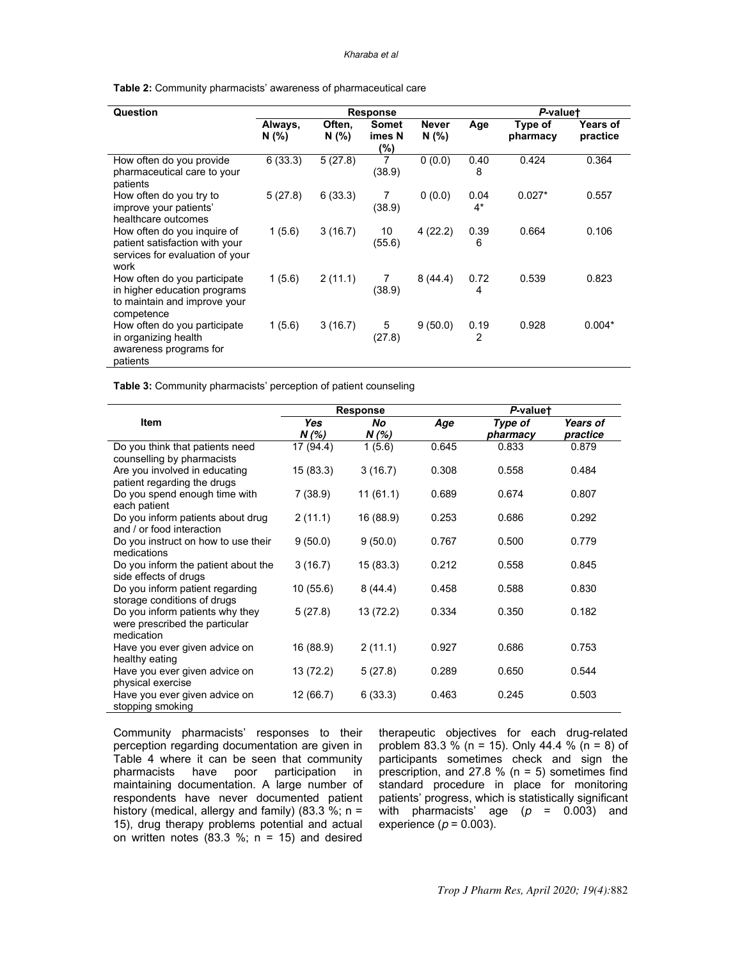#### Kharaba et al

**Table 2:** Community pharmacists' awareness of pharmaceutical care

| Question                                                                                                   | <b>Response</b>  |                 |                               |                       |               | P-valuet            |                      |  |
|------------------------------------------------------------------------------------------------------------|------------------|-----------------|-------------------------------|-----------------------|---------------|---------------------|----------------------|--|
|                                                                                                            | Always,<br>N (%) | Often,<br>N (%) | <b>Somet</b><br>imes N<br>(%) | <b>Never</b><br>N(% ) | Age           | Type of<br>pharmacy | Years of<br>practice |  |
| How often do you provide<br>pharmaceutical care to your<br>patients                                        | 6(33.3)          | 5(27.8)         | 7<br>(38.9)                   | 0(0.0)                | 0.40<br>8     | 0.424               | 0.364                |  |
| How often do you try to<br>improve your patients'<br>healthcare outcomes                                   | 5(27.8)          | 6(33.3)         | 7<br>(38.9)                   | 0(0.0)                | 0.04<br>$4^*$ | $0.027*$            | 0.557                |  |
| How often do you inquire of<br>patient satisfaction with your<br>services for evaluation of your<br>work   | 1(5.6)           | 3(16.7)         | 10<br>(55.6)                  | 4(22.2)               | 0.39<br>6     | 0.664               | 0.106                |  |
| How often do you participate<br>in higher education programs<br>to maintain and improve your<br>competence | 1(5.6)           | 2(11.1)         | 7<br>(38.9)                   | 8(44.4)               | 0.72<br>4     | 0.539               | 0.823                |  |
| How often do you participate<br>in organizing health<br>awareness programs for<br>patients                 | 1(5.6)           | 3(16.7)         | 5<br>(27.8)                   | 9(50.0)               | 0.19<br>2     | 0.928               | $0.004*$             |  |

**Table 3:** Community pharmacists' perception of patient counseling

|                                               |            | <b>Response</b> |       | P-valuet |          |  |
|-----------------------------------------------|------------|-----------------|-------|----------|----------|--|
| Item                                          | <b>Yes</b> | No              | Age   | Type of  | Years of |  |
|                                               | N(%)       | N(%)            |       | pharmacy | practice |  |
| Do you think that patients need               | 17 (94.4)  | 1(5.6)          | 0.645 | 0.833    | 0.879    |  |
| counselling by pharmacists                    |            |                 |       |          |          |  |
| Are you involved in educating                 | 15(83.3)   | 3(16.7)         | 0.308 | 0.558    | 0.484    |  |
| patient regarding the drugs                   |            |                 |       |          |          |  |
| Do you spend enough time with<br>each patient | 7(38.9)    | 11(61.1)        | 0.689 | 0.674    | 0.807    |  |
| Do you inform patients about drug             | 2(11.1)    | 16 (88.9)       | 0.253 | 0.686    | 0.292    |  |
| and / or food interaction                     |            |                 |       |          |          |  |
| Do you instruct on how to use their           | 9(50.0)    | 9(50.0)         | 0.767 | 0.500    | 0.779    |  |
| medications                                   |            |                 |       |          |          |  |
| Do you inform the patient about the           | 3(16.7)    | 15(83.3)        | 0.212 | 0.558    | 0.845    |  |
| side effects of drugs                         |            |                 |       |          |          |  |
| Do you inform patient regarding               | 10(55.6)   | 8(44.4)         | 0.458 | 0.588    | 0.830    |  |
| storage conditions of drugs                   |            |                 |       |          |          |  |
| Do you inform patients why they               | 5(27.8)    | 13 (72.2)       | 0.334 | 0.350    | 0.182    |  |
| were prescribed the particular                |            |                 |       |          |          |  |
| medication                                    |            |                 |       |          |          |  |
| Have you ever given advice on                 | 16 (88.9)  | 2(11.1)         | 0.927 | 0.686    | 0.753    |  |
| healthy eating                                |            |                 |       |          |          |  |
| Have you ever given advice on                 | 13 (72.2)  | 5(27.8)         | 0.289 | 0.650    | 0.544    |  |
| physical exercise                             |            |                 |       |          |          |  |
| Have you ever given advice on                 | 12 (66.7)  | 6(33.3)         | 0.463 | 0.245    | 0.503    |  |
| stopping smoking                              |            |                 |       |          |          |  |

Community pharmacists' responses to their perception regarding documentation are given in Table 4 where it can be seen that community<br>pharmacists have poor participation in pharmacists have poor participation in maintaining documentation. A large number of respondents have never documented patient history (medical, allergy and family) (83.3 %;  $n =$ 15), drug therapy problems potential and actual on written notes  $(83.3 \% \cdot n = 15)$  and desired

therapeutic objectives for each drug-related problem 83.3 % (n = 15). Only 44.4 % (n = 8) of participants sometimes check and sign the prescription, and 27.8 % ( $n = 5$ ) sometimes find standard procedure in place for monitoring patients' progress, which is statistically significant with pharmacists' age  $(p = 0.003)$  and experience  $(p = 0.003)$ .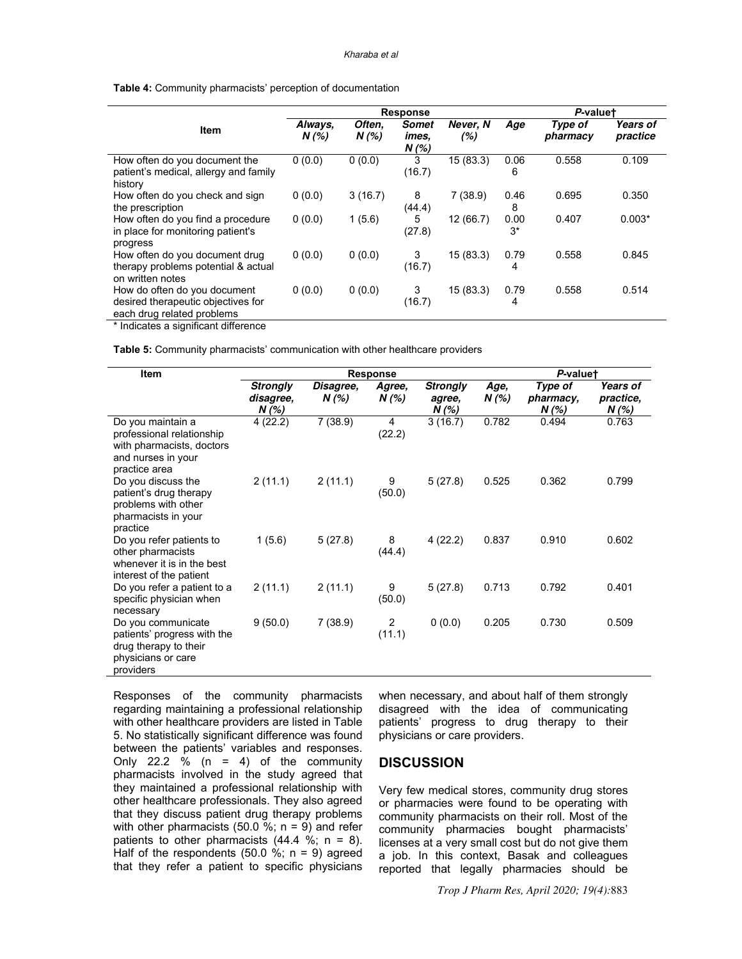#### Kharaba et al

| Table 4: Community pharmacists' perception of documentation |  |
|-------------------------------------------------------------|--|
|-------------------------------------------------------------|--|

|                                                                                                  | <b>Response</b>    |                   |                                  |                 |               | P-valuet            |                      |  |  |
|--------------------------------------------------------------------------------------------------|--------------------|-------------------|----------------------------------|-----------------|---------------|---------------------|----------------------|--|--|
| Item                                                                                             | Always,<br>$N(\%)$ | Often,<br>$N(\%)$ | <b>Somet</b><br>imes.<br>$N$ (%) | Never, N<br>(%) | Age           | Type of<br>pharmacy | Years of<br>practice |  |  |
| How often do you document the<br>patient's medical, allergy and family<br>history                | 0(0.0)             | 0(0.0)            | 3<br>(16.7)                      | 15(83.3)        | 0.06<br>6     | 0.558               | 0.109                |  |  |
| How often do you check and sign<br>the prescription                                              | 0(0.0)             | 3(16.7)           | 8<br>(44.4)                      | 7(38.9)         | 0.46<br>8     | 0.695               | 0.350                |  |  |
| How often do you find a procedure<br>in place for monitoring patient's<br>progress               | 0(0.0)             | 1(5.6)            | 5<br>(27.8)                      | 12 (66.7)       | 0.00<br>$3^*$ | 0.407               | $0.003*$             |  |  |
| How often do you document drug<br>therapy problems potential & actual<br>on written notes        | 0(0.0)             | 0(0.0)            | 3<br>(16.7)                      | 15(83.3)        | 0.79<br>4     | 0.558               | 0.845                |  |  |
| How do often do you document<br>desired therapeutic objectives for<br>each drug related problems | 0(0.0)             | 0(0.0)            | 3<br>(16.7)                      | 15(83.3)        | 0.79<br>4     | 0.558               | 0.514                |  |  |

\* Indicates a significant difference

**Table 5:** Community pharmacists' communication with other healthcare providers

| Item                                                                                                               | <b>Response</b>                       |                   |                 |                                    |               | P-valuet                      |                                      |  |  |
|--------------------------------------------------------------------------------------------------------------------|---------------------------------------|-------------------|-----------------|------------------------------------|---------------|-------------------------------|--------------------------------------|--|--|
|                                                                                                                    | <b>Strongly</b><br>disagree,<br>N (%) | Disagree,<br>N(%) | Agree,<br>N (%) | <b>Strongly</b><br>agree,<br>N (%) | Age,<br>N (%) | Type of<br>pharmacy,<br>N (%) | <b>Years of</b><br>practice,<br>N(%) |  |  |
| Do you maintain a<br>professional relationship<br>with pharmacists, doctors<br>and nurses in your<br>practice area | 4(22.2)                               | 7(38.9)           | 4<br>(22.2)     | 3(16.7)                            | 0.782         | 0.494                         | 0.763                                |  |  |
| Do you discuss the<br>patient's drug therapy<br>problems with other<br>pharmacists in your<br>practice             | 2(11.1)                               | 2(11.1)           | 9<br>(50.0)     | 5(27.8)                            | 0.525         | 0.362                         | 0.799                                |  |  |
| Do you refer patients to<br>other pharmacists<br>whenever it is in the best<br>interest of the patient             | 1(5.6)                                | 5(27.8)           | 8<br>(44.4)     | 4(22.2)                            | 0.837         | 0.910                         | 0.602                                |  |  |
| Do you refer a patient to a<br>specific physician when<br>necessary                                                | 2(11.1)                               | 2(11.1)           | 9<br>(50.0)     | 5(27.8)                            | 0.713         | 0.792                         | 0.401                                |  |  |
| Do you communicate<br>patients' progress with the<br>drug therapy to their<br>physicians or care<br>providers      | 9(50.0)                               | 7(38.9)           | 2<br>(11.1)     | 0(0.0)                             | 0.205         | 0.730                         | 0.509                                |  |  |

Responses of the community pharmacists regarding maintaining a professional relationship with other healthcare providers are listed in Table 5. No statistically significant difference was found between the patients' variables and responses. Only 22.2 % (n = 4) of the community pharmacists involved in the study agreed that they maintained a professional relationship with other healthcare professionals. They also agreed that they discuss patient drug therapy problems with other pharmacists (50.0 %;  $n = 9$ ) and refer patients to other pharmacists  $(44.4 %; n = 8)$ . Half of the respondents (50.0 %;  $n = 9$ ) agreed that they refer a patient to specific physicians

when necessary, and about half of them strongly disagreed with the idea of communicating patients' progress to drug therapy to their physicians or care providers.

#### **DISCUSSION**

Very few medical stores, community drug stores or pharmacies were found to be operating with community pharmacists on their roll. Most of the community pharmacies bought pharmacists' licenses at a very small cost but do not give them a job. In this context, Basak and colleagues reported that legally pharmacies should be

*Trop J Pharm Res, April 2020; 19(4):*883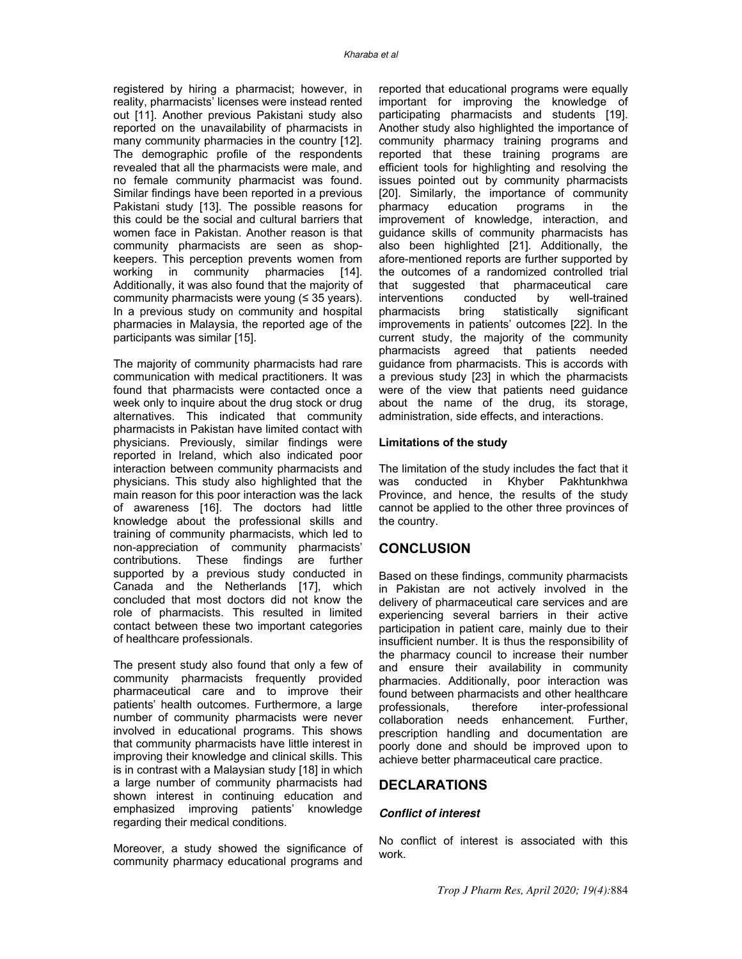registered by hiring a pharmacist; however, in reality, pharmacists' licenses were instead rented out [11]. Another previous Pakistani study also reported on the unavailability of pharmacists in many community pharmacies in the country [12]. The demographic profile of the respondents revealed that all the pharmacists were male, and no female community pharmacist was found. Similar findings have been reported in a previous Pakistani study [13]. The possible reasons for this could be the social and cultural barriers that women face in Pakistan. Another reason is that community pharmacists are seen as shopkeepers. This perception prevents women from working in community pharmacies [14]. Additionally, it was also found that the majority of community pharmacists were young (≤ 35 years). In a previous study on community and hospital pharmacies in Malaysia, the reported age of the participants was similar [15].

The majority of community pharmacists had rare communication with medical practitioners. It was found that pharmacists were contacted once a week only to inquire about the drug stock or drug alternatives. This indicated that community pharmacists in Pakistan have limited contact with physicians. Previously, similar findings were reported in Ireland, which also indicated poor interaction between community pharmacists and physicians. This study also highlighted that the main reason for this poor interaction was the lack of awareness [16]. The doctors had little knowledge about the professional skills and training of community pharmacists, which led to non-appreciation of community pharmacists' contributions. These findings are further supported by a previous study conducted in Canada and the Netherlands [17], which concluded that most doctors did not know the role of pharmacists. This resulted in limited contact between these two important categories of healthcare professionals.

The present study also found that only a few of community pharmacists frequently provided pharmaceutical care and to improve their patients' health outcomes. Furthermore, a large number of community pharmacists were never involved in educational programs. This shows that community pharmacists have little interest in improving their knowledge and clinical skills. This is in contrast with a Malaysian study [18] in which a large number of community pharmacists had shown interest in continuing education and emphasized improving patients' knowledge regarding their medical conditions.

Moreover, a study showed the significance of community pharmacy educational programs and reported that educational programs were equally important for improving the knowledge of participating pharmacists and students [19]. Another study also highlighted the importance of community pharmacy training programs and reported that these training programs are efficient tools for highlighting and resolving the issues pointed out by community pharmacists [20]. Similarly, the importance of community pharmacy education programs in the improvement of knowledge, interaction, and guidance skills of community pharmacists has also been highlighted [21]. Additionally, the afore-mentioned reports are further supported by the outcomes of a randomized controlled trial<br>that suggested that pharmaceutical care suggested that pharmaceutical care<br>entions conducted by well-trained interventions conducted by well-trained pharmacists bring statistically significant improvements in patients' outcomes [22]. In the current study, the majority of the community pharmacists agreed that patients needed guidance from pharmacists. This is accords with a previous study [23] in which the pharmacists were of the view that patients need guidance about the name of the drug, its storage, administration, side effects, and interactions.

#### **Limitations of the study**

The limitation of the study includes the fact that it was conducted in Khyber Pakhtunkhwa Province, and hence, the results of the study cannot be applied to the other three provinces of the country.

# **CONCLUSION**

Based on these findings, community pharmacists in Pakistan are not actively involved in the delivery of pharmaceutical care services and are experiencing several barriers in their active participation in patient care, mainly due to their insufficient number. It is thus the responsibility of the pharmacy council to increase their number and ensure their availability in community pharmacies. Additionally, poor interaction was found between pharmacists and other healthcare professionals, therefore inter-professional collaboration needs enhancement. Further, prescription handling and documentation are poorly done and should be improved upon to achieve better pharmaceutical care practice.

### **DECLARATIONS**

#### **Conflict of interest**

No conflict of interest is associated with this work.